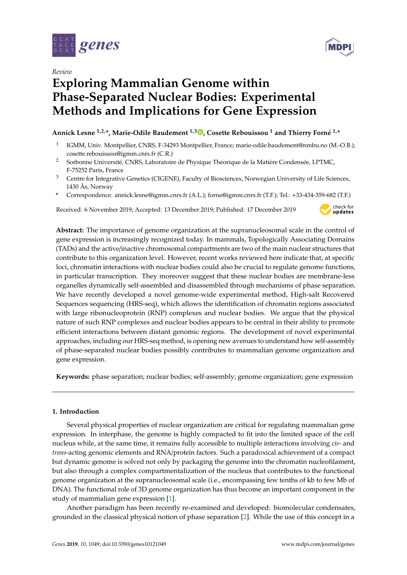

*Review*

# **Exploring Mammalian Genome within Phase-Separated Nuclear Bodies: Experimental Methods and Implications for Gene Expression**

**Annick Lesne 1,2,\*, Marie-Odile Baudement 1,3 [,](https://orcid.org/0000-0003-2018-1657) Cosette Rebouissou <sup>1</sup> and Thierry Forné 1,\***

- 1 IGMM, Univ. Montpellier, CNRS, F-34293 Montpellier, France; marie-odile.baudement@nmbu.no (M.-O.B.); cosette.rebouissou@igmm.cnrs.fr (C.R.)
- <sup>2</sup> Sorbonne Université, CNRS, Laboratoire de Physique Théorique de la Matière Condensée, LPTMC, F-75252 Paris, France
- <sup>3</sup> Centre for Integrative Genetics (CIGENE), Faculty of Biosciences, Norwegian University of Life Sciences, 1430 Ås, Norway
- **\*** Correspondence: annick.lesne@igmm.cnrs.fr (A.L.); forne@igmm.cnrs.fr (T.F.); Tel.: +33-434-359-682 (T.F.)

Received: 6 November 2019; Accepted: 13 December 2019; Published: 17 December 2019



**Abstract:** The importance of genome organization at the supranucleosomal scale in the control of gene expression is increasingly recognized today. In mammals, Topologically Associating Domains (TADs) and the active/inactive chromosomal compartments are two of the main nuclear structures that contribute to this organization level. However, recent works reviewed here indicate that, at specific loci, chromatin interactions with nuclear bodies could also be crucial to regulate genome functions, in particular transcription. They moreover suggest that these nuclear bodies are membrane-less organelles dynamically self-assembled and disassembled through mechanisms of phase separation. We have recently developed a novel genome-wide experimental method, High-salt Recovered Sequences sequencing (HRS-seq), which allows the identification of chromatin regions associated with large ribonucleoprotein (RNP) complexes and nuclear bodies. We argue that the physical nature of such RNP complexes and nuclear bodies appears to be central in their ability to promote efficient interactions between distant genomic regions. The development of novel experimental approaches, including our HRS-seq method, is opening new avenues to understand how self-assembly of phase-separated nuclear bodies possibly contributes to mammalian genome organization and gene expression.

**Keywords:** phase separation; nuclear bodies; self-assembly; genome organization; gene expression

## **1. Introduction**

Several physical properties of nuclear organization are critical for regulating mammalian gene expression. In interphase, the genome is highly compacted to fit into the limited space of the cell nucleus while, at the same time, it remains fully accessible to multiple interactions involving *cis*- and *trans*-acting genomic elements and RNA/protein factors. Such a paradoxical achievement of a compact but dynamic genome is solved not only by packaging the genome into the chromatin nucleofilament, but also through a complex compartmentalization of the nucleus that contributes to the functional genome organization at the supranucleosomal scale (i.e., encompassing few tenths of kb to few Mb of DNA). The functional role of 3D genome organization has thus become an important component in the study of mammalian gene expression [\[1\]](#page-8-0).

Another paradigm has been recently re-examined and developed: biomolecular condensates, grounded in the classical physical notion of phase separation [\[2\]](#page-8-1). While the use of this concept in a

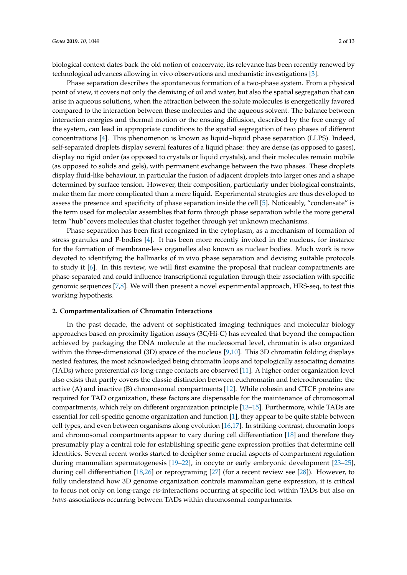biological context dates back the old notion of coacervate, its relevance has been recently renewed by technological advances allowing in vivo observations and mechanistic investigations [\[3\]](#page-8-2).

Phase separation describes the spontaneous formation of a two-phase system. From a physical point of view, it covers not only the demixing of oil and water, but also the spatial segregation that can arise in aqueous solutions, when the attraction between the solute molecules is energetically favored compared to the interaction between these molecules and the aqueous solvent. The balance between interaction energies and thermal motion or the ensuing diffusion, described by the free energy of the system, can lead in appropriate conditions to the spatial segregation of two phases of different concentrations [\[4\]](#page-8-3). This phenomenon is known as liquid–liquid phase separation (LLPS). Indeed, self-separated droplets display several features of a liquid phase: they are dense (as opposed to gases), display no rigid order (as opposed to crystals or liquid crystals), and their molecules remain mobile (as opposed to solids and gels), with permanent exchange between the two phases. These droplets display fluid-like behaviour, in particular the fusion of adjacent droplets into larger ones and a shape determined by surface tension. However, their composition, particularly under biological constraints, make them far more complicated than a mere liquid. Experimental strategies are thus developed to assess the presence and specificity of phase separation inside the cell [\[5\]](#page-8-4). Noticeably, "condensate" is the term used for molecular assemblies that form through phase separation while the more general term "hub"covers molecules that cluster together through yet unknown mechanisms.

Phase separation has been first recognized in the cytoplasm, as a mechanism of formation of stress granules and P-bodies [\[4\]](#page-8-3). It has been more recently invoked in the nucleus, for instance for the formation of membrane-less organelles also known as nuclear bodies. Much work is now devoted to identifying the hallmarks of in vivo phase separation and devising suitable protocols to study it [\[6\]](#page-8-5). In this review, we will first examine the proposal that nuclear compartments are phase-separated and could influence transcriptional regulation through their association with specific genomic sequences [\[7,](#page-8-6)[8\]](#page-8-7). We will then present a novel experimental approach, HRS-seq, to test this working hypothesis.

#### **2. Compartmentalization of Chromatin Interactions**

In the past decade, the advent of sophisticated imaging techniques and molecular biology approaches based on proximity ligation assays (3C/Hi-C) has revealed that beyond the compaction achieved by packaging the DNA molecule at the nucleosomal level, chromatin is also organized within the three-dimensional (3D) space of the nucleus [\[9](#page-8-8)[,10\]](#page-8-9). This 3D chromatin folding displays nested features, the most acknowledged being chromatin loops and topologically associating domains (TADs) where preferential *cis*-long-range contacts are observed [\[11\]](#page-8-10). A higher-order organization level also exists that partly covers the classic distinction between euchromatin and heterochromatin: the active (A) and inactive (B) chromosomal compartments [\[12\]](#page-8-11). While cohesin and CTCF proteins are required for TAD organization, these factors are dispensable for the maintenance of chromosomal compartments, which rely on different organization principle [\[13](#page-8-12)[–15\]](#page-8-13). Furthermore, while TADs are essential for cell-specific genome organization and function [\[1\]](#page-8-0), they appear to be quite stable between cell types, and even between organisms along evolution [\[16,](#page-8-14)[17\]](#page-9-0). In striking contrast, chromatin loops and chromosomal compartments appear to vary during cell differentiation [\[18\]](#page-9-1) and therefore they presumably play a central role for establishing specific gene expression profiles that determine cell identities. Several recent works started to decipher some crucial aspects of compartment regulation during mammalian spermatogenesis [\[19–](#page-9-2)[22\]](#page-9-3), in oocyte or early embryonic development [\[23](#page-9-4)[–25\]](#page-9-5), during cell differentiation [\[18,](#page-9-1)[26\]](#page-9-6) or reprograming [\[27\]](#page-9-7) (for a recent review see [\[28\]](#page-9-8)). However, to fully understand how 3D genome organization controls mammalian gene expression, it is critical to focus not only on long-range *cis*-interactions occurring at specific loci within TADs but also on *trans*-associations occurring between TADs within chromosomal compartments.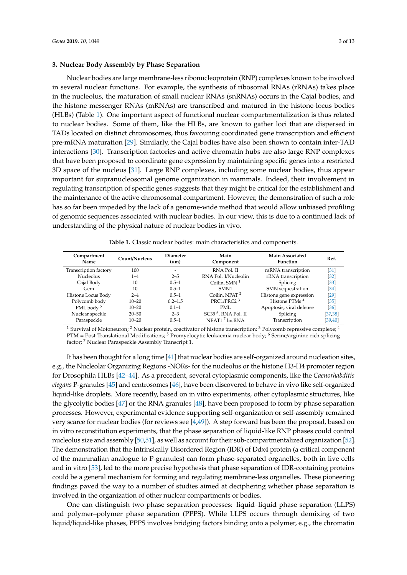## **3. Nuclear Body Assembly by Phase Separation**

Nuclear bodies are large membrane-less ribonucleoprotein (RNP) complexes known to be involved in several nuclear functions. For example, the synthesis of ribosomal RNAs (rRNAs) takes place in the nucleolus, the maturation of small nuclear RNAs (snRNAs) occurs in the Cajal bodies, and the histone messenger RNAs (mRNAs) are transcribed and matured in the histone-locus bodies (HLBs) (Table [1\)](#page-2-0). One important aspect of functional nuclear compartmentalization is thus related to nuclear bodies. Some of them, like the HLBs, are known to gather loci that are dispersed in TADs located on distinct chromosomes, thus favouring coordinated gene transcription and efficient pre-mRNA maturation [\[29\]](#page-9-9). Similarly, the Cajal bodies have also been shown to contain inter-TAD interactions [\[30\]](#page-9-10). Transcription factories and active chromatin hubs are also large RNP complexes that have been proposed to coordinate gene expression by maintaining specific genes into a restricted 3D space of the nucleus [\[31\]](#page-9-11). Large RNP complexes, including some nuclear bodies, thus appear important for supranucleosomal genome organization in mammals. Indeed, their involvement in regulating transcription of specific genes suggests that they might be critical for the establishment and the maintenance of the active chromosomal compartment. However, the demonstration of such a role has so far been impeded by the lack of a genome-wide method that would allow unbiased profiling of genomic sequences associated with nuclear bodies. In our view, this is due to a continued lack of understanding of the physical nature of nuclear bodies in vivo.

| <b>Table 1.</b> Classic nuclear bodies: main characteristics and components. |
|------------------------------------------------------------------------------|
|------------------------------------------------------------------------------|

<span id="page-2-0"></span>

| Compartment<br>Name   | Count/Nucleus | <b>Diameter</b><br>$(\mu m)$ | Main<br>Component         | <b>Main Associated</b><br>Function | Ref.              |
|-----------------------|---------------|------------------------------|---------------------------|------------------------------------|-------------------|
| Transcription factory | 100           |                              | RNA Pol. II               | mRNA transcription                 | 31                |
| <b>Nucleolus</b>      | $1 - 4$       | $2 - 5$                      | RNA Pol. I/Nucleolin      | rRNA transcription                 | $[32]$            |
| Cajal Body            | 10            | $0.5 - 1$                    | Coilin, $SMN1$            | Splicing                           | 33                |
| Gem                   | 10            | $0.5 - 1$                    | SMN <sub>1</sub>          | SMN sequestration                  | $\left[34\right]$ |
| Histone Locus Body    | $2 - 4$       | $0.5 - 1$                    | Coilin, NPAT <sup>2</sup> | Histone gene expression            | 29                |
| Polycomb body         | $10 - 20$     | $0.2 - 1.5$                  | PRC1/PRC2 <sup>3</sup>    | Histone PTMs <sup>4</sup>          | 35                |
| PML body <sup>5</sup> | $10 - 20$     | $0.1 - 1$                    | PML                       | Apoptosis, viral defense           | $\left[36\right]$ |
| Nuclear speckle       | $20 - 50$     | $2 - 3$                      | $SC356$ , RNA Pol. II     | Splicing                           | [37, 38]          |
| Paraspeckle           | $10 - 20$     | $0.5 - 1$                    | NEAT1 <sup>7</sup> lncRNA | Transcription                      | [39, 40]          |

<sup>1</sup> Survival of Motoneuron; <sup>2</sup> Nuclear protein, coactivator of histone transcription; <sup>3</sup> Polycomb repressive complexe; <sup>4</sup> PTM = Post-Translational Modifications; <sup>5</sup> Promyelocytic leukaemia nuclear body; <sup>6</sup> Serine/arginine-rich splicing factor; <sup>7</sup> Nuclear Paraspeckle Assembly Transcript 1.

It has been thought for a long time [\[41\]](#page-10-3) that nuclear bodies are self-organized around nucleation sites, e.g., the Nucleolar Organizing Regions -NORs- for the nucleolus or the histone H3-H4 promoter region for Drosophila HLBs [\[42](#page-10-4)[–44\]](#page-10-5). As a precedent, several cytoplasmic components, like the *Caenorhabditis elegans* P-granules [\[45\]](#page-10-6) and centrosomes [\[46\]](#page-10-7), have been discovered to behave in vivo like self-organized liquid-like droplets. More recently, based on in vitro experiments, other cytoplasmic structures, like the glycolytic bodies [\[47\]](#page-10-8) or the RNA granules [\[48\]](#page-10-9), have been proposed to form by phase separation processes. However, experimental evidence supporting self-organization or self-assembly remained very scarce for nuclear bodies (for reviews see [\[4](#page-8-3)[,49\]](#page-10-10)). A step forward has been the proposal, based on in vitro reconstitution experiments, that the phase separation of liquid-like RNP phases could control nucleolus size and assembly [\[50,](#page-10-11)[51\]](#page-10-12), as well as account for their sub-compartmentalized organization [\[52\]](#page-10-13). The demonstration that the Intrinsically Disordered Region (IDR) of Ddx4 protein (a critical component of the mammalian analogue to P-granules) can form phase-separated organelles, both in live cells and in vitro [\[53\]](#page-10-14), led to the more precise hypothesis that phase separation of IDR-containing proteins could be a general mechanism for forming and regulating membrane-less organelles. These pioneering findings paved the way to a number of studies aimed at deciphering whether phase separation is involved in the organization of other nuclear compartments or bodies.

One can distinguish two phase separation processes: liquid–liquid phase separation (LLPS) and polymer–polymer phase separation (PPPS). While LLPS occurs through demixing of two liquid/liquid-like phases, PPPS involves bridging factors binding onto a polymer, e.g., the chromatin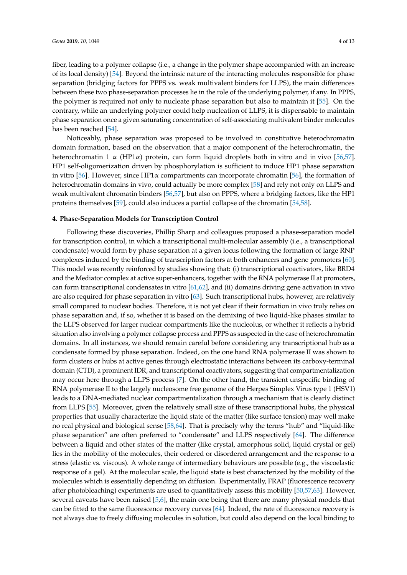fiber, leading to a polymer collapse (i.e., a change in the polymer shape accompanied with an increase of its local density) [\[54\]](#page-10-15). Beyond the intrinsic nature of the interacting molecules responsible for phase separation (bridging factors for PPPS vs. weak multivalent binders for LLPS), the main differences between these two phase-separation processes lie in the role of the underlying polymer, if any. In PPPS, the polymer is required not only to nucleate phase separation but also to maintain it [\[55\]](#page-10-16). On the contrary, while an underlying polymer could help nucleation of LLPS, it is dispensable to maintain phase separation once a given saturating concentration of self-associating multivalent binder molecules has been reached [\[54\]](#page-10-15).

Noticeably, phase separation was proposed to be involved in constitutive heterochromatin domain formation, based on the observation that a major component of the heterochromatin, the heterochromatin 1  $\alpha$  (HP1 $\alpha$ ) protein, can form liquid droplets both in vitro and in vivo [\[56,](#page-10-17)[57\]](#page-10-18). HP1 self-oligomerization driven by phosphorylation is sufficient to induce HP1 phase separation in vitro [\[56\]](#page-10-17). However, since HP1 $\alpha$  compartments can incorporate chromatin [56], the formation of heterochromatin domains in vivo, could actually be more complex [\[58\]](#page-10-19) and rely not only on LLPS and weak multivalent chromatin binders [\[56](#page-10-17)[,57\]](#page-10-18), but also on PPPS, where a bridging factors, like the HP1 proteins themselves [\[59\]](#page-11-0), could also induces a partial collapse of the chromatin [\[54,](#page-10-15)[58\]](#page-10-19).

## **4. Phase-Separation Models for Transcription Control**

Following these discoveries, Phillip Sharp and colleagues proposed a phase-separation model for transcription control, in which a transcriptional multi-molecular assembly (i.e., a transcriptional condensate) would form by phase separation at a given locus following the formation of large RNP complexes induced by the binding of transcription factors at both enhancers and gene promoters [\[60\]](#page-11-1). This model was recently reinforced by studies showing that: (i) transcriptional coactivators, like BRD4 and the Mediator complex at active super-enhancers, together with the RNA polymerase II at promoters, can form transcriptional condensates in vitro [\[61,](#page-11-2)[62\]](#page-11-3), and (ii) domains driving gene activation in vivo are also required for phase separation in vitro [\[63\]](#page-11-4). Such transcriptional hubs, however, are relatively small compared to nuclear bodies. Therefore, it is not yet clear if their formation in vivo truly relies on phase separation and, if so, whether it is based on the demixing of two liquid-like phases similar to the LLPS observed for larger nuclear compartments like the nucleolus, or whether it reflects a hybrid situation also involving a polymer collapse process and PPPS as suspected in the case of heterochromatin domains. In all instances, we should remain careful before considering any transcriptional hub as a condensate formed by phase separation. Indeed, on the one hand RNA polymerase II was shown to form clusters or hubs at active genes through electrostatic interactions between its carboxy-terminal domain (CTD), a prominent IDR, and transcriptional coactivators, suggesting that compartmentalization may occur here through a LLPS process [\[7\]](#page-8-6). On the other hand, the transient unspecific binding of RNA polymerase II to the largely nucleosome free genome of the Herpes Simplex Virus type 1 (HSV1) leads to a DNA-mediated nuclear compartmentalization through a mechanism that is clearly distinct from LLPS [\[55\]](#page-10-16). Moreover, given the relatively small size of these transcriptional hubs, the physical properties that usually characterize the liquid state of the matter (like surface tension) may well make no real physical and biological sense [\[58](#page-10-19)[,64\]](#page-11-5). That is precisely why the terms "hub" and "liquid-like phase separation" are often preferred to "condensate" and LLPS respectively [\[64\]](#page-11-5). The difference between a liquid and other states of the matter (like crystal, amorphous solid, liquid crystal or gel) lies in the mobility of the molecules, their ordered or disordered arrangement and the response to a stress (elastic vs. viscous). A whole range of intermediary behaviours are possible (e.g., the viscoelastic response of a gel). At the molecular scale, the liquid state is best characterized by the mobility of the molecules which is essentially depending on diffusion. Experimentally, FRAP (fluorescence recovery after photobleaching) experiments are used to quantitatively assess this mobility [\[50](#page-10-11)[,57](#page-10-18)[,63\]](#page-11-4). However, several caveats have been raised [\[5](#page-8-4)[,6\]](#page-8-5), the main one being that there are many physical models that can be fitted to the same fluorescence recovery curves [\[64\]](#page-11-5). Indeed, the rate of fluorescence recovery is not always due to freely diffusing molecules in solution, but could also depend on the local binding to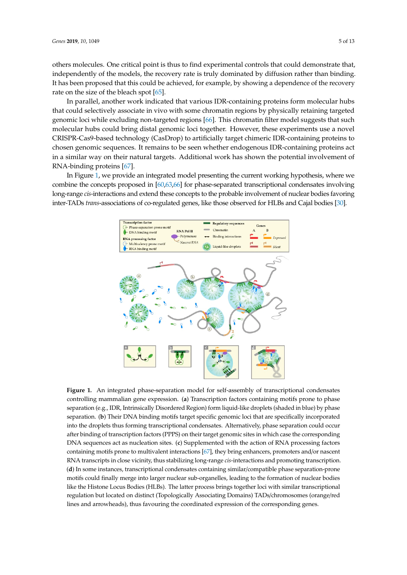others molecules. One critical point is thus to find experimental controls that could demonstrate that, independently of the models, the recovery rate is truly dominated by diffusion rather than binding. It has been proposed that this could be achieved, for example, by showing a dependence of the recovery rate on the size of the bleach spot [\[65\]](#page-11-6).

In parallel, another work indicated that various IDR-containing proteins form molecular hubs that could selectively associate in vivo with some chromatin regions by physically retaining targeted genomic loci while excluding non-targeted regions [\[66\]](#page-11-7). This chromatin filter model suggests that such molecular hubs could bring distal genomic loci together. However, these experiments use a novel CRISPR-Cas9-based technology (CasDrop) to artificially target chimeric IDR-containing proteins to chosen genomic sequences. It remains to be seen whether endogenous IDR-containing proteins act in a similar way on their natural targets. Additional work has shown the potential involvement of RNA-binding proteins [\[67\]](#page-11-8). cassociate in vivo with some enfomalin regions by priysican ta bring aistal genomic loci together. However, these expel  $t_{\rm c}$  recovery  $\sigma_{\rm s}$  reasonable to the space of the bleach space  $\sigma$ their natural targets. Additional work has shown the poten  $\mathcal{L}$  distal genomic loci together. However, the experiments use a experiments use a experiments use a experiments use a experiment of  $\mathcal{L}$  $\log 1$ 

<span id="page-4-0"></span>In Figure [1,](#page-4-0) we provide an integrated model presenting the current working hypothesis, where we combine the concepts proposed in  $[60,63,66]$  $[60,63,66]$  $[60,63,66]$  for phase-separated transcriptional condensates involving long-range *cis*-interactions and extend these concepts to the probable involvement of nuclear bodies favoring inter-TADs *trans-associations of co-regulated genes*, like those observed for HLBs and Cajal bodies [\[30\]](#page-9-10). proteins a similar way on the potential targets. Additional work has shown that  $\alpha$ tots and extend these concepts to the probable involvement of nu nuclear bodies favoring inter-TADs *trans*-associations of co-regulated genes, like those observed for



**Figure 1.** An integrated phase-separation model for self-assembly of transcriptional condensates controlling mammalian gene expression. (**a**) Transcription factors containing motifs prone to phase separation (e.g., IDR, Intrinsically Disordered Region) form liquid-like droplets (shaded in blue) by phase separation. (**b**) Their DNA binding motifs target specific genomic loci that are specifically incorporated into the droplets thus forming transcriptional condensates. Alternatively, phase separation could occur after binding of transcription factors (PPPS) on their target genomic sites in which case the corresponding DNA sequences act as nucleation sites. (**c**) Supplemented with the action of RNA processing factors containing motifs prone to multivalent interactions [\[67\]](#page-11-8), they bring enhancers, promoters and/or nascent RNA transcripts in close vicinity, thus stabilizing long-range *cis*-interactions and promoting transcription. (**d**) In some instances, transcriptional condensates containing similar/compatible phase separation-prone motifs could finally merge into larger nuclear sub-organelles, leading to the formation of nuclear bodies like the Histone Locus Bodies (HLBs). The latter process brings together loci with similar transcriptional regulation but located on distinct (Topologically Associating Domains) TADs/chromosomes (orange/red lines and arrowheads), thus favouring the coordinated expression of the corresponding genes.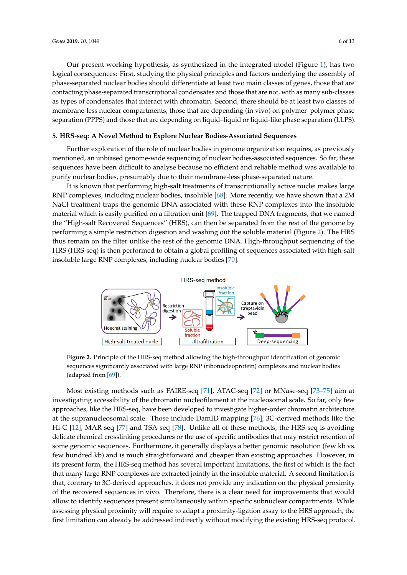Our present working hypothesis, as synthesized in the integrated model (Figure [1\)](#page-4-0), has two logical consequences: First, studying the physical principles and factors underlying the assembly of phase-separated nuclear bodies should differentiate at least two main classes of genes, those that are contacting phase-separated transcriptional condensates and those that are not, with as many sub-classes as types of condensates that interact with chromatin. Second, there should be at least two classes of membrane-less nuclear compartments, those that are depending (in vivo) on polymer–polymer phase separation (PPPS) and those that are depending on liquid–liquid or liquid-like phase separation (LLPS).

## **5. HRS-seq: A Novel Method to Explore Nuclear Bodies-Associated Sequences**

Further exploration of the role of nuclear bodies in genome organization requires, as previously mentioned, an unbiased genome-wide sequencing of nuclear bodies-associated sequences. So far, these sequences have been difficult to analyse because no efficient and reliable method was available to purify nuclear bodies, presumably due to their membrane-less phase-separated nature.

It is known that performing high-salt treatments of transcriptionally active nuclei makes large RNP complexes, including nuclear bodies, insoluble [\[68\]](#page-11-9). More recently, we have shown that a 2M  $\,$ NaCl treatment traps the genomic DNA associated with these RNP complexes into the insoluble material which is easily purified on a filtration unit [\[69\]](#page-11-10). The trapped DNA fragments, that we named the "High-salt Recovered Sequences" (HRS), can then be separated from the rest of the genome by performing a simple restriction digestion and washing out the soluble material (Figure [2\)](#page-5-0). The HRS thus remain on the filter unlike the rest of the genomic DNA. High-throughput sequencing of the HRS (HRS-seq) is then performed to obtain a global profiling of sequences associated with high-salt insoluble large RNP complexes, including nuclear bodies [\[70\]](#page-11-11).  $\alpha$  is cash, parmed on a mutulor and  $\beta$ , the dupped  $\beta$  in mughtenes, and Atrophy (SMA), mutations of the *survival of motor neuron 1* (*SMN1*) gene affect Cajal bodies formation  $\overline{\phantom{a}}$ 

<span id="page-5-0"></span>

**Figure 2.** Principle of the HRS-seq method allowing the high-throughput identification of genomic **Figure 2.** Principle of the HRS-seq method allowing the high-throughput identification of genomic sequences significantly associated with large  $\frac{1}{2}$ sequences significantly associated with large RNP (ribonucleoprotein) complexes and nuclear bodies (adapted from [\[69\]](#page-11-10)).

isting methods such as  $FAIPE$  seq [71]  $ATAC$  seq [72] or  $MN$  assays (73] Most existing methods such as FAIRE-seq [\[71\]](#page-11-12), ATAC-seq [\[72\]](#page-11-13) or MNase-seq [\[73–](#page-11-14)[75\]](#page-11-15) aim at investigating accessibility of the chromatin nucleofilament at the nucleosomal scale. So far, only few approaches, like the HRS-seq, have been developed to investigate higher-order chromatin architecture  $\mu$ uclosement scale. These include DamID manning [76],  $\frac{2}{5}$  derived method at the supranucleosomal scale. Those include DamID mapping [\[76\]](#page-11-16), 3C-derived methods like the Hi-C [\[12\]](#page-8-11), MAR-seq [\[77\]](#page-11-17) and TSA-seq [\[78\]](#page-11-18). Unlike all of these methods, the HRS-seq is avoiding delicate chemical crosslinking procedures or the use of specific antibodies that may restrict retention of is securings. Eurtherman, it conorally displays a better generate resolution some genomic sequences. Furthermore, it generally displays a better genomic resolution (few kb vs. few hundred kb) and is much straightforward and cheaper than existing approaches. However, in its present form, the HRS-seq method has several important limitations, the first of which is the fact  $\mathbb{R}^n$  phase separation showed be seen that disturb we see that disturb we are  $\mathbb{R}^n$  and  $\mathbb{R}^n$  and  $\mathbb{R}^n$  are  $\mathbb{R}^n$  and  $\mathbb{R}^n$  and  $\mathbb{R}^n$  are  $\mathbb{R}^n$  and  $\mathbb{R}^n$  and  $\mathbb{R}^n$  are  $\math$ that many large RNP complexes are extracted jointly in the insoluble material. A second limitation is that, contrary to 3C-derived approaches, it does not provide any indication on the physical proximity of the recovered sequences in vivo. Therefore, there is a clear need for improvements that would  $\frac{1}{2}$ , for a guarantee procent cimultaneously within an orific qubuyelogy comportu allow to identify sequences present simultaneously within specific subnuclear compartments. While assessing physical proximity will require to adapt a proximity-ligation assay to the HRS approach, the first limitation can already be addressed indirectly without modifying the existing HRS-seq protocol. interactions (i.e., interactions between charged molecules, that are not disrupted by  $1,6$  hexanediol)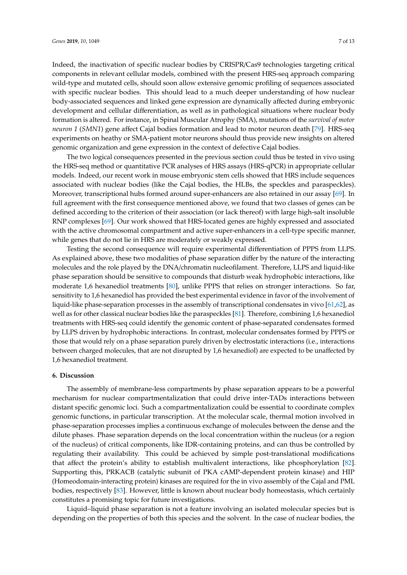Indeed, the inactivation of specific nuclear bodies by CRISPR/Cas9 technologies targeting critical components in relevant cellular models, combined with the present HRS-seq approach comparing wild-type and mutated cells, should soon allow extensive genomic profiling of sequences associated with specific nuclear bodies. This should lead to a much deeper understanding of how nuclear body-associated sequences and linked gene expression are dynamically affected during embryonic development and cellular differentiation, as well as in pathological situations where nuclear body formation is altered. For instance, in Spinal Muscular Atrophy (SMA), mutations of the *survival of motor neuron 1* (*SMN1*) gene affect Cajal bodies formation and lead to motor neuron death [\[79\]](#page-12-0). HRS-seq experiments on heathy or SMA-patient motor neurons should thus provide new insights on altered genomic organization and gene expression in the context of defective Cajal bodies.

The two logical consequences presented in the previous section could thus be tested in vivo using the HRS-seq method or quantitative PCR analyses of HRS assays (HRS-qPCR) in appropriate cellular models. Indeed, our recent work in mouse embryonic stem cells showed that HRS include sequences associated with nuclear bodies (like the Cajal bodies, the HLBs, the speckles and paraspeckles). Moreover, transcriptional hubs formed around super-enhancers are also retained in our assay [\[69\]](#page-11-10). In full agreement with the first consequence mentioned above, we found that two classes of genes can be defined according to the criterion of their association (or lack thereof) with large high-salt insoluble RNP complexes [\[69\]](#page-11-10). Our work showed that HRS-located genes are highly expressed and associated with the active chromosomal compartment and active super-enhancers in a cell-type specific manner, while genes that do not lie in HRS are moderately or weakly expressed.

Testing the second consequence will require experimental differentiation of PPPS from LLPS. As explained above, these two modalities of phase separation differ by the nature of the interacting molecules and the role played by the DNA/chromatin nucleofilament. Therefore, LLPS and liquid-like phase separation should be sensitive to compounds that disturb weak hydrophobic interactions, like moderate 1,6 hexanediol treatments [\[80\]](#page-12-1), unlike PPPS that relies on stronger interactions. So far, sensitivity to 1,6 hexanediol has provided the best experimental evidence in favor of the involvement of liquid-like phase-separation processes in the assembly of transcriptional condensates in vivo [\[61](#page-11-2)[,62\]](#page-11-3), as well as for other classical nuclear bodies like the paraspeckles [\[81\]](#page-12-2). Therefore, combining 1,6 hexanediol treatments with HRS-seq could identify the genomic content of phase-separated condensates formed by LLPS driven by hydrophobic interactions. In contrast, molecular condensates formed by PPPS or those that would rely on a phase separation purely driven by electrostatic interactions (i.e., interactions between charged molecules, that are not disrupted by 1,6 hexanediol) are expected to be unaffected by 1,6 hexanediol treatment.

#### **6. Discussion**

The assembly of membrane-less compartments by phase separation appears to be a powerful mechanism for nuclear compartmentalization that could drive inter-TADs interactions between distant specific genomic loci. Such a compartmentalization could be essential to coordinate complex genomic functions, in particular transcription. At the molecular scale, thermal motion involved in phase-separation processes implies a continuous exchange of molecules between the dense and the dilute phases. Phase separation depends on the local concentration within the nucleus (or a region of the nucleus) of critical components, like IDR-containing proteins, and can thus be controlled by regulating their availability. This could be achieved by simple post-translational modifications that affect the protein's ability to establish multivalent interactions, like phosphorylation [\[82\]](#page-12-3). Supporting this, PRKACB (catalytic subunit of PKA cAMP-dependent protein kinase) and HIP (Homeodomain-interacting protein) kinases are required for the in vivo assembly of the Cajal and PML bodies, respectively [\[83\]](#page-12-4). However, little is known about nuclear body homeostasis, which certainly constitutes a promising topic for future investigations.

Liquid–liquid phase separation is not a feature involving an isolated molecular species but is depending on the properties of both this species and the solvent. In the case of nuclear bodies, the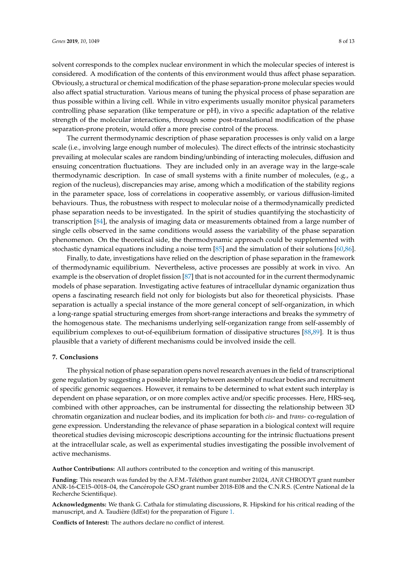solvent corresponds to the complex nuclear environment in which the molecular species of interest is considered. A modification of the contents of this environment would thus affect phase separation. Obviously, a structural or chemical modification of the phase separation-prone molecular species would also affect spatial structuration. Various means of tuning the physical process of phase separation are thus possible within a living cell. While in vitro experiments usually monitor physical parameters controlling phase separation (like temperature or pH), in vivo a specific adaptation of the relative strength of the molecular interactions, through some post-translational modification of the phase separation-prone protein, would offer a more precise control of the process.

The current thermodynamic description of phase separation processes is only valid on a large scale (i.e., involving large enough number of molecules). The direct effects of the intrinsic stochasticity prevailing at molecular scales are random binding/unbinding of interacting molecules, diffusion and ensuing concentration fluctuations. They are included only in an average way in the large-scale thermodynamic description. In case of small systems with a finite number of molecules, (e.g., a region of the nucleus), discrepancies may arise, among which a modification of the stability regions in the parameter space, loss of correlations in cooperative assembly, or various diffusion-limited behaviours. Thus, the robustness with respect to molecular noise of a thermodynamically predicted phase separation needs to be investigated. In the spirit of studies quantifying the stochasticity of transcription [\[84\]](#page-12-5), the analysis of imaging data or measurements obtained from a large number of single cells observed in the same conditions would assess the variability of the phase separation phenomenon. On the theoretical side, the thermodynamic approach could be supplemented with stochastic dynamical equations including a noise term [\[85\]](#page-12-6) and the simulation of their solutions [\[60](#page-11-1)[,86\]](#page-12-7).

Finally, to date, investigations have relied on the description of phase separation in the framework of thermodynamic equilibrium. Nevertheless, active processes are possibly at work in vivo. An example is the observation of droplet fission [\[87\]](#page-12-8) that is not accounted for in the current thermodynamic models of phase separation. Investigating active features of intracellular dynamic organization thus opens a fascinating research field not only for biologists but also for theoretical physicists. Phase separation is actually a special instance of the more general concept of self-organization, in which a long-range spatial structuring emerges from short-range interactions and breaks the symmetry of the homogenous state. The mechanisms underlying self-organization range from self-assembly of equilibrium complexes to out-of-equilibrium formation of dissipative structures [\[88,](#page-12-9)[89\]](#page-12-10). It is thus plausible that a variety of different mechanisms could be involved inside the cell.

## **7. Conclusions**

The physical notion of phase separation opens novel research avenues in the field of transcriptional gene regulation by suggesting a possible interplay between assembly of nuclear bodies and recruitment of specific genomic sequences. However, it remains to be determined to what extent such interplay is dependent on phase separation, or on more complex active and/or specific processes. Here, HRS-seq, combined with other approaches, can be instrumental for dissecting the relationship between 3D chromatin organization and nuclear bodies, and its implication for both *cis*- and *trans*- co-regulation of gene expression. Understanding the relevance of phase separation in a biological context will require theoretical studies devising microscopic descriptions accounting for the intrinsic fluctuations present at the intracellular scale, as well as experimental studies investigating the possible involvement of active mechanisms.

**Author Contributions:** All authors contributed to the conception and writing of this manuscript.

**Funding:** This research was funded by the A.F.M.-Téléthon grant number 21024, *ANR* CHRODYT grant number ANR-16-CE15–0018–04, the Cancéropole GSO grant number 2018-E08 and the C.N.R.S. (Centre National de la Recherche Scientifique).

**Acknowledgments:** We thank G. Cathala for stimulating discussions, R. Hipskind for his critical reading of the manuscript, and A. Taudière (IdEst) for the preparation of Figure [1.](#page-4-0)

**Conflicts of Interest:** The authors declare no conflict of interest.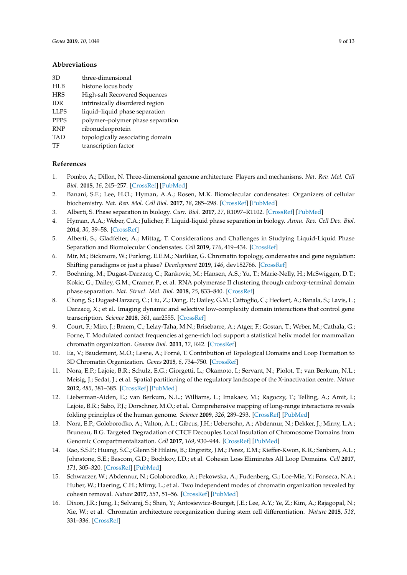## **Abbreviations**

- HLB histone locus body
- HRS High-salt Recovered Sequences
- IDR intrinsically disordered region
- LLPS liquid–liquid phase separation
- PPPS polymer–polymer phase separation
- RNP ribonucleoprotein
- TAD topologically associating domain
- TF transcription factor

## **References**

- <span id="page-8-0"></span>1. Pombo, A.; Dillon, N. Three-dimensional genome architecture: Players and mechanisms. *Nat. Rev. Mol. Cell Biol.* **2015**, *16*, 245–257. [\[CrossRef\]](http://dx.doi.org/10.1038/nrm3965) [\[PubMed\]](http://www.ncbi.nlm.nih.gov/pubmed/25757416)
- <span id="page-8-1"></span>2. Banani, S.F.; Lee, H.O.; Hyman, A.A.; Rosen, M.K. Biomolecular condensates: Organizers of cellular biochemistry. *Nat. Rev. Mol. Cell Biol.* **2017**, *18*, 285–298. [\[CrossRef\]](http://dx.doi.org/10.1038/nrm.2017.7) [\[PubMed\]](http://www.ncbi.nlm.nih.gov/pubmed/28225081)
- <span id="page-8-2"></span>3. Alberti, S. Phase separation in biology. *Curr. Biol.* **2017**, *27*, R1097–R1102. [\[CrossRef\]](http://dx.doi.org/10.1016/j.cub.2017.08.069) [\[PubMed\]](http://www.ncbi.nlm.nih.gov/pubmed/29065286)
- <span id="page-8-3"></span>4. Hyman, A.A.; Weber, C.A.; Julicher, F. Liquid-liquid phase separation in biology. *Annu. Rev. Cell Dev. Biol.* **2014**, *30*, 39–58. [\[CrossRef\]](http://dx.doi.org/10.1146/annurev-cellbio-100913-013325)
- <span id="page-8-4"></span>5. Alberti, S.; Gladfelter, A.; Mittag, T. Considerations and Challenges in Studying Liquid-Liquid Phase Separation and Biomolecular Condensates. *Cell* **2019**, *176*, 419–434. [\[CrossRef\]](http://dx.doi.org/10.1016/j.cell.2018.12.035)
- <span id="page-8-5"></span>6. Mir, M.; Bickmore, W.; Furlong, E.E.M.; Narlikar, G. Chromatin topology, condensates and gene regulation: Shifting paradigms or just a phase? *Development* **2019**, *146*, dev182766. [\[CrossRef\]](http://dx.doi.org/10.1242/dev.182766)
- <span id="page-8-6"></span>7. Boehning, M.; Dugast-Darzacq, C.; Rankovic, M.; Hansen, A.S.; Yu, T.; Marie-Nelly, H.; McSwiggen, D.T.; Kokic, G.; Dailey, G.M.; Cramer, P.; et al. RNA polymerase II clustering through carboxy-terminal domain phase separation. *Nat. Struct. Mol. Biol.* **2018**, *25*, 833–840. [\[CrossRef\]](http://dx.doi.org/10.1038/s41594-018-0112-y)
- <span id="page-8-7"></span>8. Chong, S.; Dugast-Darzacq, C.; Liu, Z.; Dong, P.; Dailey, G.M.; Cattoglio, C.; Heckert, A.; Banala, S.; Lavis, L.; Darzacq, X.; et al. Imaging dynamic and selective low-complexity domain interactions that control gene transcription. *Science* **2018**, *361*, aar2555. [\[CrossRef\]](http://dx.doi.org/10.1126/science.aar2555)
- <span id="page-8-8"></span>9. Court, F.; Miro, J.; Braem, C.; Lelay-Taha, M.N.; Brisebarre, A.; Atger, F.; Gostan, T.; Weber, M.; Cathala, G.; Forne, T. Modulated contact frequencies at gene-rich loci support a statistical helix model for mammalian chromatin organization. *Genome Biol.* **2011**, *12*, R42. [\[CrossRef\]](http://dx.doi.org/10.1186/gb-2011-12-5-r42)
- <span id="page-8-9"></span>10. Ea, V.; Baudement, M.O.; Lesne, A.; Forné, T. Contribution of Topological Domains and Loop Formation to 3D Chromatin Organization. *Genes* **2015**, *6*, 734–750. [\[CrossRef\]](http://dx.doi.org/10.3390/genes6030734)
- <span id="page-8-10"></span>11. Nora, E.P.; Lajoie, B.R.; Schulz, E.G.; Giorgetti, L.; Okamoto, I.; Servant, N.; Piolot, T.; van Berkum, N.L.; Meisig, J.; Sedat, J.; et al. Spatial partitioning of the regulatory landscape of the X-inactivation centre. *Nature* **2012**, *485*, 381–385. [\[CrossRef\]](http://dx.doi.org/10.1038/nature11049) [\[PubMed\]](http://www.ncbi.nlm.nih.gov/pubmed/22495304)
- <span id="page-8-11"></span>12. Lieberman-Aiden, E.; van Berkum, N.L.; Williams, L.; Imakaev, M.; Ragoczy, T.; Telling, A.; Amit, I.; Lajoie, B.R.; Sabo, P.J.; Dorschner, M.O.; et al. Comprehensive mapping of long-range interactions reveals folding principles of the human genome. *Science* **2009**, *326*, 289–293. [\[CrossRef\]](http://dx.doi.org/10.1126/science.1181369) [\[PubMed\]](http://www.ncbi.nlm.nih.gov/pubmed/19815776)
- <span id="page-8-12"></span>13. Nora, E.P.; Goloborodko, A.; Valton, A.L.; Gibcus, J.H.; Uebersohn, A.; Abdennur, N.; Dekker, J.; Mirny, L.A.; Bruneau, B.G. Targeted Degradation of CTCF Decouples Local Insulation of Chromosome Domains from Genomic Compartmentalization. *Cell* **2017**, *169*, 930–944. [\[CrossRef\]](http://dx.doi.org/10.1016/j.cell.2017.05.004) [\[PubMed\]](http://www.ncbi.nlm.nih.gov/pubmed/28525758)
- 14. Rao, S.S.P.; Huang, S.C.; Glenn St Hilaire, B.; Engreitz, J.M.; Perez, E.M.; Kieffer-Kwon, K.R.; Sanborn, A.L.; Johnstone, S.E.; Bascom, G.D.; Bochkov, I.D.; et al. Cohesin Loss Eliminates All Loop Domains. *Cell* **2017**, *171*, 305–320. [\[CrossRef\]](http://dx.doi.org/10.1016/j.cell.2017.09.026) [\[PubMed\]](http://www.ncbi.nlm.nih.gov/pubmed/28985562)
- <span id="page-8-13"></span>15. Schwarzer, W.; Abdennur, N.; Goloborodko, A.; Pekowska, A.; Fudenberg, G.; Loe-Mie, Y.; Fonseca, N.A.; Huber, W.; Haering, C.H.; Mirny, L.; et al. Two independent modes of chromatin organization revealed by cohesin removal. *Nature* **2017**, *551*, 51–56. [\[CrossRef\]](http://dx.doi.org/10.1038/nature24281) [\[PubMed\]](http://www.ncbi.nlm.nih.gov/pubmed/29094699)
- <span id="page-8-14"></span>16. Dixon, J.R.; Jung, I.; Selvaraj, S.; Shen, Y.; Antosiewicz-Bourget, J.E.; Lee, A.Y.; Ye, Z.; Kim, A.; Rajagopal, N.; Xie, W.; et al. Chromatin architecture reorganization during stem cell differentiation. *Nature* **2015**, *518*, 331–336. [\[CrossRef\]](http://dx.doi.org/10.1038/nature14222)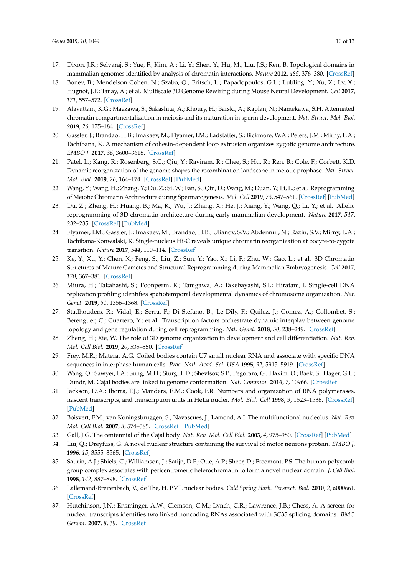- <span id="page-9-0"></span>17. Dixon, J.R.; Selvaraj, S.; Yue, F.; Kim, A.; Li, Y.; Shen, Y.; Hu, M.; Liu, J.S.; Ren, B. Topological domains in mammalian genomes identified by analysis of chromatin interactions. *Nature* **2012**, *485*, 376–380. [\[CrossRef\]](http://dx.doi.org/10.1038/nature11082)
- <span id="page-9-1"></span>18. Bonev, B.; Mendelson Cohen, N.; Szabo, Q.; Fritsch, L.; Papadopoulos, G.L.; Lubling, Y.; Xu, X.; Lv, X.; Hugnot, J.P.; Tanay, A.; et al. Multiscale 3D Genome Rewiring during Mouse Neural Development. *Cell* **2017**, *171*, 557–572. [\[CrossRef\]](http://dx.doi.org/10.1016/j.cell.2017.09.043)
- <span id="page-9-2"></span>19. Alavattam, K.G.; Maezawa, S.; Sakashita, A.; Khoury, H.; Barski, A.; Kaplan, N.; Namekawa, S.H. Attenuated chromatin compartmentalization in meiosis and its maturation in sperm development. *Nat. Struct. Mol. Biol.* **2019**, *26*, 175–184. [\[CrossRef\]](http://dx.doi.org/10.1038/s41594-019-0189-y)
- 20. Gassler, J.; Brandao, H.B.; Imakaev, M.; Flyamer, I.M.; Ladstatter, S.; Bickmore, W.A.; Peters, J.M.; Mirny, L.A.; Tachibana, K. A mechanism of cohesin-dependent loop extrusion organizes zygotic genome architecture. *EMBO J.* **2017**, *36*, 3600–3618. [\[CrossRef\]](http://dx.doi.org/10.15252/embj.201798083)
- 21. Patel, L.; Kang, R.; Rosenberg, S.C.; Qiu, Y.; Raviram, R.; Chee, S.; Hu, R.; Ren, B.; Cole, F.; Corbett, K.D. Dynamic reorganization of the genome shapes the recombination landscape in meiotic prophase. *Nat. Struct. Mol. Biol.* **2019**, *26*, 164–174. [\[CrossRef\]](http://dx.doi.org/10.1038/s41594-019-0187-0) [\[PubMed\]](http://www.ncbi.nlm.nih.gov/pubmed/30778236)
- <span id="page-9-3"></span>22. Wang, Y.; Wang, H.; Zhang, Y.; Du, Z.; Si, W.; Fan, S.; Qin, D.; Wang, M.; Duan, Y.; Li, L.; et al. Reprogramming of Meiotic Chromatin Architecture during Spermatogenesis. *Mol. Cell* **2019**, *73*, 547–561. [\[CrossRef\]](http://dx.doi.org/10.1016/j.molcel.2018.11.019) [\[PubMed\]](http://www.ncbi.nlm.nih.gov/pubmed/30735655)
- <span id="page-9-4"></span>23. Du, Z.; Zheng, H.; Huang, B.; Ma, R.; Wu, J.; Zhang, X.; He, J.; Xiang, Y.; Wang, Q.; Li, Y.; et al. Allelic reprogramming of 3D chromatin architecture during early mammalian development. *Nature* **2017**, *547*, 232–235. [\[CrossRef\]](http://dx.doi.org/10.1038/nature23263) [\[PubMed\]](http://www.ncbi.nlm.nih.gov/pubmed/28703188)
- 24. Flyamer, I.M.; Gassler, J.; Imakaev, M.; Brandao, H.B.; Ulianov, S.V.; Abdennur, N.; Razin, S.V.; Mirny, L.A.; Tachibana-Konwalski, K. Single-nucleus Hi-C reveals unique chromatin reorganization at oocyte-to-zygote transition. *Nature* **2017**, *544*, 110–114. [\[CrossRef\]](http://dx.doi.org/10.1038/nature21711)
- <span id="page-9-5"></span>25. Ke, Y.; Xu, Y.; Chen, X.; Feng, S.; Liu, Z.; Sun, Y.; Yao, X.; Li, F.; Zhu, W.; Gao, L.; et al. 3D Chromatin Structures of Mature Gametes and Structural Reprogramming during Mammalian Embryogenesis. *Cell* **2017**, *170*, 367–381. [\[CrossRef\]](http://dx.doi.org/10.1016/j.cell.2017.06.029)
- <span id="page-9-6"></span>26. Miura, H.; Takahashi, S.; Poonperm, R.; Tanigawa, A.; Takebayashi, S.I.; Hiratani, I. Single-cell DNA replication profiling identifies spatiotemporal developmental dynamics of chromosome organization. *Nat. Genet.* **2019**, *51*, 1356–1368. [\[CrossRef\]](http://dx.doi.org/10.1038/s41588-019-0474-z)
- <span id="page-9-7"></span>27. Stadhouders, R.; Vidal, E.; Serra, F.; Di Stefano, B.; Le Dily, F.; Quilez, J.; Gomez, A.; Collombet, S.; Berenguer, C.; Cuartero, Y.; et al. Transcription factors orchestrate dynamic interplay between genome topology and gene regulation during cell reprogramming. *Nat. Genet.* **2018**, *50*, 238–249. [\[CrossRef\]](http://dx.doi.org/10.1038/s41588-017-0030-7)
- <span id="page-9-8"></span>28. Zheng, H.; Xie, W. The role of 3D genome organization in development and cell differentiation. *Nat. Rev. Mol. Cell Biol.* **2019**, *20*, 535–550. [\[CrossRef\]](http://dx.doi.org/10.1038/s41580-019-0132-4)
- <span id="page-9-9"></span>29. Frey, M.R.; Matera, A.G. Coiled bodies contain U7 small nuclear RNA and associate with specific DNA sequences in interphase human cells. *Proc. Natl. Acad. Sci. USA* **1995**, *92*, 5915–5919. [\[CrossRef\]](http://dx.doi.org/10.1073/pnas.92.13.5915)
- <span id="page-9-10"></span>30. Wang, Q.; Sawyer, I.A.; Sung, M.H.; Sturgill, D.; Shevtsov, S.P.; Pegoraro, G.; Hakim, O.; Baek, S.; Hager, G.L.; Dundr, M. Cajal bodies are linked to genome conformation. *Nat. Commun.* **2016**, *7*, 10966. [\[CrossRef\]](http://dx.doi.org/10.1038/ncomms10966)
- <span id="page-9-11"></span>31. Jackson, D.A.; Iborra, F.J.; Manders, E.M.; Cook, P.R. Numbers and organization of RNA polymerases, nascent transcripts, and transcription units in HeLa nuclei. *Mol. Biol. Cell* **1998**, *9*, 1523–1536. [\[CrossRef\]](http://dx.doi.org/10.1091/mbc.9.6.1523) [\[PubMed\]](http://www.ncbi.nlm.nih.gov/pubmed/9614191)
- <span id="page-9-12"></span>32. Boisvert, F.M.; van Koningsbruggen, S.; Navascues, J.; Lamond, A.I. The multifunctional nucleolus. *Nat. Rev. Mol. Cell Biol.* **2007**, *8*, 574–585. [\[CrossRef\]](http://dx.doi.org/10.1038/nrm2184) [\[PubMed\]](http://www.ncbi.nlm.nih.gov/pubmed/17519961)
- <span id="page-9-13"></span>33. Gall, J.G. The centennial of the Cajal body. *Nat. Rev. Mol. Cell Biol.* **2003**, *4*, 975–980. [\[CrossRef\]](http://dx.doi.org/10.1038/nrm1262) [\[PubMed\]](http://www.ncbi.nlm.nih.gov/pubmed/14685175)
- <span id="page-9-14"></span>34. Liu, Q.; Dreyfuss, G. A novel nuclear structure containing the survival of motor neurons protein. *EMBO J.* **1996**, *15*, 3555–3565. [\[CrossRef\]](http://dx.doi.org/10.1002/j.1460-2075.1996.tb00725.x)
- <span id="page-9-15"></span>35. Saurin, A.J.; Shiels, C.; Williamson, J.; Satijn, D.P.; Otte, A.P.; Sheer, D.; Freemont, P.S. The human polycomb group complex associates with pericentromeric heterochromatin to form a novel nuclear domain. *J. Cell Biol.* **1998**, *142*, 887–898. [\[CrossRef\]](http://dx.doi.org/10.1083/jcb.142.4.887)
- <span id="page-9-16"></span>36. Lallemand-Breitenbach, V.; de The, H. PML nuclear bodies. *Cold Spring Harb. Perspect. Biol.* **2010**, *2*, a000661. [\[CrossRef\]](http://dx.doi.org/10.1101/cshperspect.a000661)
- <span id="page-9-17"></span>37. Hutchinson, J.N.; Ensminger, A.W.; Clemson, C.M.; Lynch, C.R.; Lawrence, J.B.; Chess, A. A screen for nuclear transcripts identifies two linked noncoding RNAs associated with SC35 splicing domains. *BMC Genom.* **2007**, *8*, 39. [\[CrossRef\]](http://dx.doi.org/10.1186/1471-2164-8-39)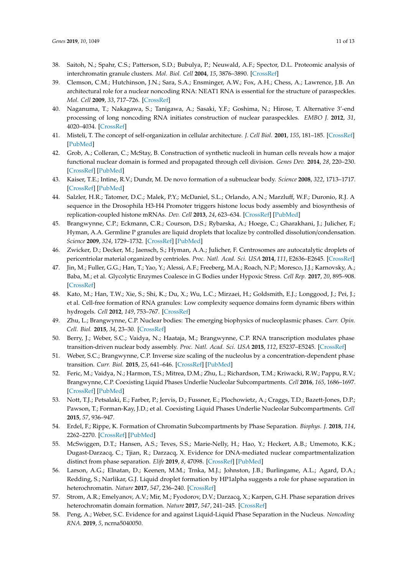- <span id="page-10-0"></span>38. Saitoh, N.; Spahr, C.S.; Patterson, S.D.; Bubulya, P.; Neuwald, A.F.; Spector, D.L. Proteomic analysis of interchromatin granule clusters. *Mol. Biol. Cell* **2004**, *15*, 3876–3890. [\[CrossRef\]](http://dx.doi.org/10.1091/mbc.e04-03-0253)
- <span id="page-10-1"></span>39. Clemson, C.M.; Hutchinson, J.N.; Sara, S.A.; Ensminger, A.W.; Fox, A.H.; Chess, A.; Lawrence, J.B. An architectural role for a nuclear noncoding RNA: NEAT1 RNA is essential for the structure of paraspeckles. *Mol. Cell* **2009**, *33*, 717–726. [\[CrossRef\]](http://dx.doi.org/10.1016/j.molcel.2009.01.026)
- <span id="page-10-2"></span>40. Naganuma, T.; Nakagawa, S.; Tanigawa, A.; Sasaki, Y.F.; Goshima, N.; Hirose, T. Alternative 3'-end processing of long noncoding RNA initiates construction of nuclear paraspeckles. *EMBO J.* **2012**, *31*, 4020–4034. [\[CrossRef\]](http://dx.doi.org/10.1038/emboj.2012.251)
- <span id="page-10-3"></span>41. Misteli, T. The concept of self-organization in cellular architecture. *J. Cell Biol.* **2001**, *155*, 181–185. [\[CrossRef\]](http://dx.doi.org/10.1083/jcb.200108110) [\[PubMed\]](http://www.ncbi.nlm.nih.gov/pubmed/11604416)
- <span id="page-10-4"></span>42. Grob, A.; Colleran, C.; McStay, B. Construction of synthetic nucleoli in human cells reveals how a major functional nuclear domain is formed and propagated through cell division. *Genes Dev.* **2014**, *28*, 220–230. [\[CrossRef\]](http://dx.doi.org/10.1101/gad.234591.113) [\[PubMed\]](http://www.ncbi.nlm.nih.gov/pubmed/24449107)
- 43. Kaiser, T.E.; Intine, R.V.; Dundr, M. De novo formation of a subnuclear body. *Science* **2008**, *322*, 1713–1717. [\[CrossRef\]](http://dx.doi.org/10.1126/science.1165216) [\[PubMed\]](http://www.ncbi.nlm.nih.gov/pubmed/18948503)
- <span id="page-10-5"></span>44. Salzler, H.R.; Tatomer, D.C.; Malek, P.Y.; McDaniel, S.L.; Orlando, A.N.; Marzluff, W.F.; Duronio, R.J. A sequence in the Drosophila H3-H4 Promoter triggers histone locus body assembly and biosynthesis of replication-coupled histone mRNAs. *Dev. Cell* **2013**, *24*, 623–634. [\[CrossRef\]](http://dx.doi.org/10.1016/j.devcel.2013.02.014) [\[PubMed\]](http://www.ncbi.nlm.nih.gov/pubmed/23537633)
- <span id="page-10-6"></span>45. Brangwynne, C.P.; Eckmann, C.R.; Courson, D.S.; Rybarska, A.; Hoege, C.; Gharakhani, J.; Julicher, F.; Hyman, A.A. Germline P granules are liquid droplets that localize by controlled dissolution/condensation. *Science* **2009**, *324*, 1729–1732. [\[CrossRef\]](http://dx.doi.org/10.1126/science.1172046) [\[PubMed\]](http://www.ncbi.nlm.nih.gov/pubmed/19460965)
- <span id="page-10-7"></span>46. Zwicker, D.; Decker, M.; Jaensch, S.; Hyman, A.A.; Julicher, F. Centrosomes are autocatalytic droplets of pericentriolar material organized by centrioles. *Proc. Natl. Acad. Sci. USA* **2014**, *111*, E2636–E2645. [\[CrossRef\]](http://dx.doi.org/10.1073/pnas.1404855111)
- <span id="page-10-8"></span>47. Jin, M.; Fuller, G.G.; Han, T.; Yao, Y.; Alessi, A.F.; Freeberg, M.A.; Roach, N.P.; Moresco, J.J.; Karnovsky, A.; Baba, M.; et al. Glycolytic Enzymes Coalesce in G Bodies under Hypoxic Stress. *Cell Rep.* **2017**, *20*, 895–908. [\[CrossRef\]](http://dx.doi.org/10.1016/j.celrep.2017.06.082)
- <span id="page-10-9"></span>48. Kato, M.; Han, T.W.; Xie, S.; Shi, K.; Du, X.; Wu, L.C.; Mirzaei, H.; Goldsmith, E.J.; Longgood, J.; Pei, J.; et al. Cell-free formation of RNA granules: Low complexity sequence domains form dynamic fibers within hydrogels. *Cell* **2012**, *149*, 753–767. [\[CrossRef\]](http://dx.doi.org/10.1016/j.cell.2012.04.017)
- <span id="page-10-10"></span>49. Zhu, L.; Brangwynne, C.P. Nuclear bodies: The emerging biophysics of nucleoplasmic phases. *Curr. Opin. Cell. Biol.* **2015**, *34*, 23–30. [\[CrossRef\]](http://dx.doi.org/10.1016/j.ceb.2015.04.003)
- <span id="page-10-11"></span>50. Berry, J.; Weber, S.C.; Vaidya, N.; Haataja, M.; Brangwynne, C.P. RNA transcription modulates phase transition-driven nuclear body assembly. *Proc. Natl. Acad. Sci. USA* **2015**, *112*, E5237–E5245. [\[CrossRef\]](http://dx.doi.org/10.1073/pnas.1509317112)
- <span id="page-10-12"></span>51. Weber, S.C.; Brangwynne, C.P. Inverse size scaling of the nucleolus by a concentration-dependent phase transition. *Curr. Biol.* **2015**, *25*, 641–646. [\[CrossRef\]](http://dx.doi.org/10.1016/j.cub.2015.01.012) [\[PubMed\]](http://www.ncbi.nlm.nih.gov/pubmed/25702583)
- <span id="page-10-13"></span>52. Feric, M.; Vaidya, N.; Harmon, T.S.; Mitrea, D.M.; Zhu, L.; Richardson, T.M.; Kriwacki, R.W.; Pappu, R.V.; Brangwynne, C.P. Coexisting Liquid Phases Underlie Nucleolar Subcompartments. *Cell* **2016**, *165*, 1686–1697. [\[CrossRef\]](http://dx.doi.org/10.1016/j.cell.2016.04.047) [\[PubMed\]](http://www.ncbi.nlm.nih.gov/pubmed/27212236)
- <span id="page-10-14"></span>53. Nott, T.J.; Petsalaki, E.; Farber, P.; Jervis, D.; Fussner, E.; Plochowietz, A.; Craggs, T.D.; Bazett-Jones, D.P.; Pawson, T.; Forman-Kay, J.D.; et al. Coexisting Liquid Phases Underlie Nucleolar Subcompartments. *Cell* **2015**, *57*, 936–947.
- <span id="page-10-15"></span>54. Erdel, F.; Rippe, K. Formation of Chromatin Subcompartments by Phase Separation. *Biophys. J.* **2018**, *114*, 2262–2270. [\[CrossRef\]](http://dx.doi.org/10.1016/j.bpj.2018.03.011) [\[PubMed\]](http://www.ncbi.nlm.nih.gov/pubmed/29628210)
- <span id="page-10-16"></span>55. McSwiggen, D.T.; Hansen, A.S.; Teves, S.S.; Marie-Nelly, H.; Hao, Y.; Heckert, A.B.; Umemoto, K.K.; Dugast-Darzacq, C.; Tjian, R.; Darzacq, X. Evidence for DNA-mediated nuclear compartmentalization distinct from phase separation. *Elife* **2019**, *8*, 47098. [\[CrossRef\]](http://dx.doi.org/10.7554/eLife.47098) [\[PubMed\]](http://www.ncbi.nlm.nih.gov/pubmed/31038454)
- <span id="page-10-17"></span>56. Larson, A.G.; Elnatan, D.; Keenen, M.M.; Trnka, M.J.; Johnston, J.B.; Burlingame, A.L.; Agard, D.A.; Redding, S.; Narlikar, G.J. Liquid droplet formation by HP1alpha suggests a role for phase separation in heterochromatin. *Nature* **2017**, *547*, 236–240. [\[CrossRef\]](http://dx.doi.org/10.1038/nature22822)
- <span id="page-10-18"></span>57. Strom, A.R.; Emelyanov, A.V.; Mir, M.; Fyodorov, D.V.; Darzacq, X.; Karpen, G.H. Phase separation drives heterochromatin domain formation. *Nature* **2017**, *547*, 241–245. [\[CrossRef\]](http://dx.doi.org/10.1038/nature22989)
- <span id="page-10-19"></span>58. Peng, A.; Weber, S.C. Evidence for and against Liquid-Liquid Phase Separation in the Nucleus. *Noncoding RNA.* **2019**, *5*, ncrna5040050.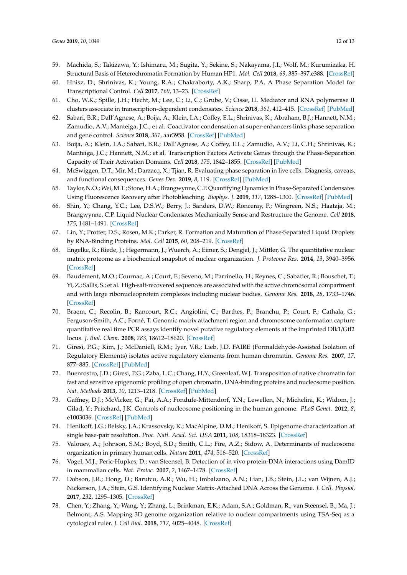- <span id="page-11-0"></span>59. Machida, S.; Takizawa, Y.; Ishimaru, M.; Sugita, Y.; Sekine, S.; Nakayama, J.I.; Wolf, M.; Kurumizaka, H. Structural Basis of Heterochromatin Formation by Human HP1. *Mol. Cell* **2018**, *69*, 385–397.e388. [\[CrossRef\]](http://dx.doi.org/10.1016/j.molcel.2017.12.011)
- <span id="page-11-1"></span>60. Hnisz, D.; Shrinivas, K.; Young, R.A.; Chakraborty, A.K.; Sharp, P.A. A Phase Separation Model for Transcriptional Control. *Cell* **2017**, *169*, 13–23. [\[CrossRef\]](http://dx.doi.org/10.1016/j.cell.2017.02.007)
- <span id="page-11-2"></span>61. Cho, W.K.; Spille, J.H.; Hecht, M.; Lee, C.; Li, C.; Grube, V.; Cisse, I.I. Mediator and RNA polymerase II clusters associate in transcription-dependent condensates. *Science* **2018**, *361*, 412–415. [\[CrossRef\]](http://dx.doi.org/10.1126/science.aar4199) [\[PubMed\]](http://www.ncbi.nlm.nih.gov/pubmed/29930094)
- <span id="page-11-3"></span>62. Sabari, B.R.; Dall'Agnese, A.; Boija, A.; Klein, I.A.; Coffey, E.L.; Shrinivas, K.; Abraham, B.J.; Hannett, N.M.; Zamudio, A.V.; Manteiga, J.C.; et al. Coactivator condensation at super-enhancers links phase separation and gene control. *Science* **2018**, *361*, aar3958. [\[CrossRef\]](http://dx.doi.org/10.1126/science.aar3958) [\[PubMed\]](http://www.ncbi.nlm.nih.gov/pubmed/29930091)
- <span id="page-11-4"></span>63. Boija, A.; Klein, I.A.; Sabari, B.R.; Dall'Agnese, A.; Coffey, E.L.; Zamudio, A.V.; Li, C.H.; Shrinivas, K.; Manteiga, J.C.; Hannett, N.M.; et al. Transcription Factors Activate Genes through the Phase-Separation Capacity of Their Activation Domains. *Cell* **2018**, *175*, 1842–1855. [\[CrossRef\]](http://dx.doi.org/10.1016/j.cell.2018.10.042) [\[PubMed\]](http://www.ncbi.nlm.nih.gov/pubmed/30449618)
- <span id="page-11-5"></span>64. McSwiggen, D.T.; Mir, M.; Darzacq, X.; Tjian, R. Evaluating phase separation in live cells: Diagnosis, caveats, and functional consequences. *Genes Dev.* **2019**, *8*, 119. [\[CrossRef\]](http://dx.doi.org/10.1101/gad.331520.119) [\[PubMed\]](http://www.ncbi.nlm.nih.gov/pubmed/31594803)
- <span id="page-11-6"></span>65. Taylor, N.O.; Wei,M.T.; Stone, H.A.; Brangwynne, C.P. Quantifying Dynamics in Phase-Separated Condensates Using Fluorescence Recovery after Photobleaching. *Biophys. J.* **2019**, *117*, 1285–1300. [\[CrossRef\]](http://dx.doi.org/10.1016/j.bpj.2019.08.030) [\[PubMed\]](http://www.ncbi.nlm.nih.gov/pubmed/31540706)
- <span id="page-11-7"></span>66. Shin, Y.; Chang, Y.C.; Lee, D.S.W.; Berry, J.; Sanders, D.W.; Ronceray, P.; Wingreen, N.S.; Haataja, M.; Brangwynne, C.P. Liquid Nuclear Condensates Mechanically Sense and Restructure the Genome. *Cell* **2018**, *175*, 1481–1491. [\[CrossRef\]](http://dx.doi.org/10.1016/j.cell.2018.10.057)
- <span id="page-11-8"></span>67. Lin, Y.; Protter, D.S.; Rosen, M.K.; Parker, R. Formation and Maturation of Phase-Separated Liquid Droplets by RNA-Binding Proteins. *Mol. Cell* **2015**, *60*, 208–219. [\[CrossRef\]](http://dx.doi.org/10.1016/j.molcel.2015.08.018)
- <span id="page-11-9"></span>68. Engelke, R.; Riede, J.; Hegermann, J.; Wuerch, A.; Eimer, S.; Dengjel, J.; Mittler, G. The quantitative nuclear matrix proteome as a biochemical snapshot of nuclear organization. *J. Proteome Res.* **2014**, *13*, 3940–3956. [\[CrossRef\]](http://dx.doi.org/10.1021/pr500218f)
- <span id="page-11-10"></span>69. Baudement, M.O.; Cournac, A.; Court, F.; Seveno, M.; Parrinello, H.; Reynes, C.; Sabatier, R.; Bouschet, T.; Yi, Z.; Sallis, S.; et al. High-salt-recovered sequences are associated with the active chromosomal compartment and with large ribonucleoprotein complexes including nuclear bodies. *Genome Res.* **2018**, *28*, 1733–1746. [\[CrossRef\]](http://dx.doi.org/10.1101/gr.237073.118)
- <span id="page-11-11"></span>70. Braem, C.; Recolin, B.; Rancourt, R.C.; Angiolini, C.; Barthes, P.; Branchu, P.; Court, F.; Cathala, G.; Ferguson-Smith, A.C.; Forné, T. Genomic matrix attachment region and chromosome conformation capture quantitative real time PCR assays identify novel putative regulatory elements at the imprinted Dlk1/Gtl2 locus. *J. Biol. Chem.* **2008**, *283*, 18612–18620. [\[CrossRef\]](http://dx.doi.org/10.1074/jbc.M801883200)
- <span id="page-11-12"></span>71. Giresi, P.G.; Kim, J.; McDaniell, R.M.; Iyer, V.R.; Lieb, J.D. FAIRE (Formaldehyde-Assisted Isolation of Regulatory Elements) isolates active regulatory elements from human chromatin. *Genome Res.* **2007**, *17*, 877–885. [\[CrossRef\]](http://dx.doi.org/10.1101/gr.5533506) [\[PubMed\]](http://www.ncbi.nlm.nih.gov/pubmed/17179217)
- <span id="page-11-13"></span>72. Buenrostro, J.D.; Giresi, P.G.; Zaba, L.C.; Chang, H.Y.; Greenleaf, W.J. Transposition of native chromatin for fast and sensitive epigenomic profiling of open chromatin, DNA-binding proteins and nucleosome position. *Nat. Methods* **2013**, *10*, 1213–1218. [\[CrossRef\]](http://dx.doi.org/10.1038/nmeth.2688) [\[PubMed\]](http://www.ncbi.nlm.nih.gov/pubmed/24097267)
- <span id="page-11-14"></span>73. Gaffney, D.J.; McVicker, G.; Pai, A.A.; Fondufe-Mittendorf, Y.N.; Lewellen, N.; Michelini, K.; Widom, J.; Gilad, Y.; Pritchard, J.K. Controls of nucleosome positioning in the human genome. *PLoS Genet.* **2012**, *8*, e1003036. [\[CrossRef\]](http://dx.doi.org/10.1371/journal.pgen.1003036) [\[PubMed\]](http://www.ncbi.nlm.nih.gov/pubmed/23166509)
- 74. Henikoff, J.G.; Belsky, J.A.; Krassovsky, K.; MacAlpine, D.M.; Henikoff, S. Epigenome characterization at single base-pair resolution. *Proc. Natl. Acad. Sci. USA* **2011**, *108*, 18318–18323. [\[CrossRef\]](http://dx.doi.org/10.1073/pnas.1110731108)
- <span id="page-11-15"></span>75. Valouev, A.; Johnson, S.M.; Boyd, S.D.; Smith, C.L.; Fire, A.Z.; Sidow, A. Determinants of nucleosome organization in primary human cells. *Nature* **2011**, *474*, 516–520. [\[CrossRef\]](http://dx.doi.org/10.1038/nature10002)
- <span id="page-11-16"></span>76. Vogel, M.J.; Peric-Hupkes, D.; van Steensel, B. Detection of in vivo protein-DNA interactions using DamID in mammalian cells. *Nat. Protoc.* **2007**, *2*, 1467–1478. [\[CrossRef\]](http://dx.doi.org/10.1038/nprot.2007.148)
- <span id="page-11-17"></span>77. Dobson, J.R.; Hong, D.; Barutcu, A.R.; Wu, H.; Imbalzano, A.N.; Lian, J.B.; Stein, J.L.; van Wijnen, A.J.; Nickerson, J.A.; Stein, G.S. Identifying Nuclear Matrix-Attached DNA Across the Genome. *J. Cell. Physiol.* **2017**, *232*, 1295–1305. [\[CrossRef\]](http://dx.doi.org/10.1002/jcp.25596)
- <span id="page-11-18"></span>78. Chen, Y.; Zhang, Y.; Wang, Y.; Zhang, L.; Brinkman, E.K.; Adam, S.A.; Goldman, R.; van Steensel, B.; Ma, J.; Belmont, A.S. Mapping 3D genome organization relative to nuclear compartments using TSA-Seq as a cytological ruler. *J. Cell Biol.* **2018**, *217*, 4025–4048. [\[CrossRef\]](http://dx.doi.org/10.1083/jcb.201807108)